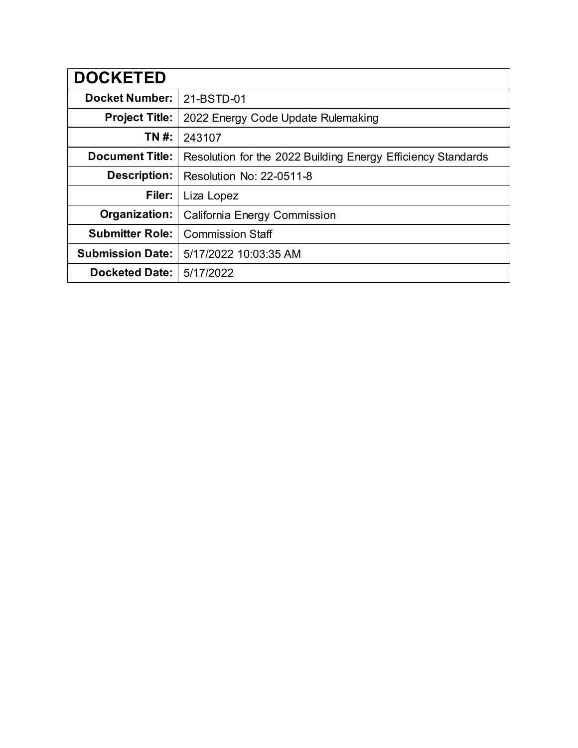| <b>DOCKETED</b>         |                                                              |
|-------------------------|--------------------------------------------------------------|
| <b>Docket Number:</b>   | 21-BSTD-01                                                   |
| <b>Project Title:</b>   | 2022 Energy Code Update Rulemaking                           |
| TN #:                   | 243107                                                       |
| <b>Document Title:</b>  | Resolution for the 2022 Building Energy Efficiency Standards |
| Description:            | <b>Resolution No: 22-0511-8</b>                              |
| Filer:                  | Liza Lopez                                                   |
| Organization:           | California Energy Commission                                 |
| <b>Submitter Role:</b>  | <b>Commission Staff</b>                                      |
| <b>Submission Date:</b> | 5/17/2022 10:03:35 AM                                        |
| <b>Docketed Date:</b>   | 5/17/2022                                                    |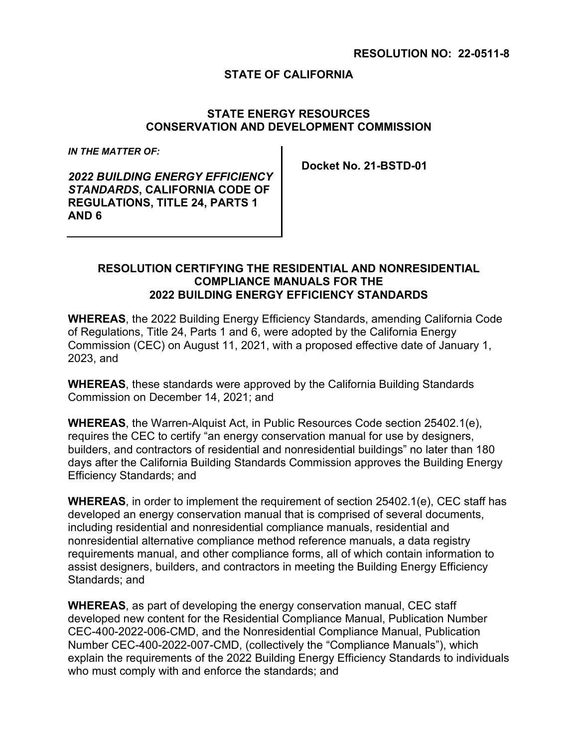### **RESOLUTION NO: 22-0511-8**

## **STATE OF CALIFORNIA**

## **STATE ENERGY RESOURCES CONSERVATION AND DEVELOPMENT COMMISSION**

*IN THE MATTER OF:*

*2022 BUILDING ENERGY EFFICIENCY STANDARDS***, CALIFORNIA CODE OF REGULATIONS, TITLE 24, PARTS 1 AND 6**

**Docket No. 21-BSTD-01**

### **RESOLUTION CERTIFYING THE RESIDENTIAL AND NONRESIDENTIAL COMPLIANCE MANUALS FOR THE 2022 BUILDING ENERGY EFFICIENCY STANDARDS**

**WHEREAS**, the 2022 Building Energy Efficiency Standards, amending California Code of Regulations, Title 24, Parts 1 and 6, were adopted by the California Energy Commission (CEC) on August 11, 2021, with a proposed effective date of January 1, 2023, and

**WHEREAS**, these standards were approved by the California Building Standards Commission on December 14, 2021; and

**WHEREAS**, the Warren-Alquist Act, in Public Resources Code section 25402.1(e), requires the CEC to certify "an energy conservation manual for use by designers, builders, and contractors of residential and nonresidential buildings" no later than 180 days after the California Building Standards Commission approves the Building Energy Efficiency Standards; and

**WHEREAS**, in order to implement the requirement of section 25402.1(e), CEC staff has developed an energy conservation manual that is comprised of several documents, including residential and nonresidential compliance manuals, residential and nonresidential alternative compliance method reference manuals, a data registry requirements manual, and other compliance forms, all of which contain information to assist designers, builders, and contractors in meeting the Building Energy Efficiency Standards; and

**WHEREAS**, as part of developing the energy conservation manual, CEC staff developed new content for the Residential Compliance Manual, Publication Number CEC-400-2022-006-CMD, and the Nonresidential Compliance Manual, Publication Number CEC-400-2022-007-CMD, (collectively the "Compliance Manuals"), which explain the requirements of the 2022 Building Energy Efficiency Standards to individuals who must comply with and enforce the standards; and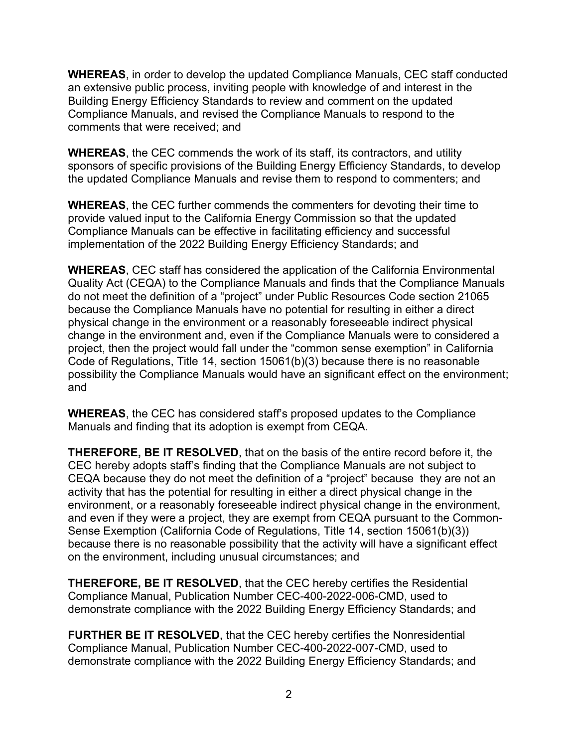**WHEREAS**, in order to develop the updated Compliance Manuals, CEC staff conducted an extensive public process, inviting people with knowledge of and interest in the Building Energy Efficiency Standards to review and comment on the updated Compliance Manuals, and revised the Compliance Manuals to respond to the comments that were received; and

**WHEREAS**, the CEC commends the work of its staff, its contractors, and utility sponsors of specific provisions of the Building Energy Efficiency Standards, to develop the updated Compliance Manuals and revise them to respond to commenters; and

**WHEREAS**, the CEC further commends the commenters for devoting their time to provide valued input to the California Energy Commission so that the updated Compliance Manuals can be effective in facilitating efficiency and successful implementation of the 2022 Building Energy Efficiency Standards; and

**WHEREAS**, CEC staff has considered the application of the California Environmental Quality Act (CEQA) to the Compliance Manuals and finds that the Compliance Manuals do not meet the definition of a "project" under Public Resources Code section 21065 because the Compliance Manuals have no potential for resulting in either a direct physical change in the environment or a reasonably foreseeable indirect physical change in the environment and, even if the Compliance Manuals were to considered a project, then the project would fall under the "common sense exemption" in California Code of Regulations, Title 14, section 15061(b)(3) because there is no reasonable possibility the Compliance Manuals would have an significant effect on the environment; and

**WHEREAS**, the CEC has considered staff's proposed updates to the Compliance Manuals and finding that its adoption is exempt from CEQA.

**THEREFORE, BE IT RESOLVED**, that on the basis of the entire record before it, the CEC hereby adopts staff's finding that the Compliance Manuals are not subject to CEQA because they do not meet the definition of a "project" because they are not an activity that has the potential for resulting in either a direct physical change in the environment, or a reasonably foreseeable indirect physical change in the environment, and even if they were a project, they are exempt from CEQA pursuant to the Common-Sense Exemption (California Code of Regulations, Title 14, section 15061(b)(3)) because there is no reasonable possibility that the activity will have a significant effect on the environment, including unusual circumstances; and

**THEREFORE, BE IT RESOLVED**, that the CEC hereby certifies the Residential Compliance Manual, Publication Number CEC-400-2022-006-CMD, used to demonstrate compliance with the 2022 Building Energy Efficiency Standards; and

**FURTHER BE IT RESOLVED**, that the CEC hereby certifies the Nonresidential Compliance Manual, Publication Number CEC-400-2022-007-CMD, used to demonstrate compliance with the 2022 Building Energy Efficiency Standards; and